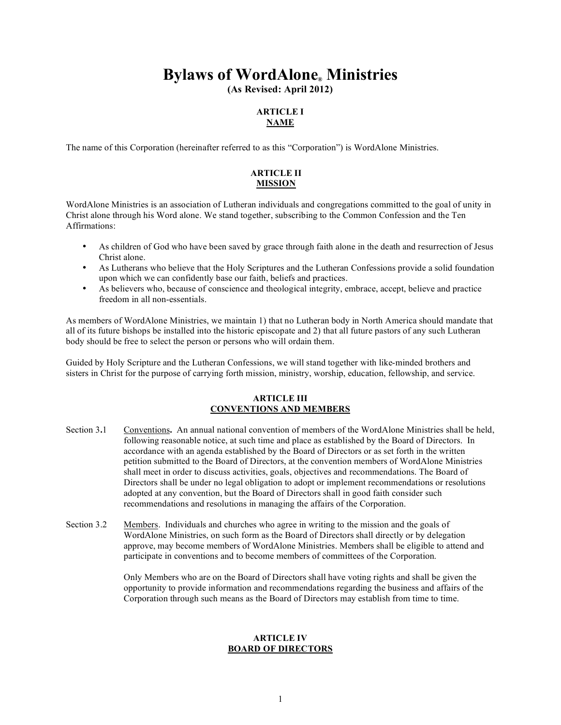# **Bylaws of WordAlone® Ministries**

**(As Revised: April 2012)**

## **ARTICLE I NAME**

The name of this Corporation (hereinafter referred to as this "Corporation") is WordAlone Ministries.

## **ARTICLE II MISSION**

WordAlone Ministries is an association of Lutheran individuals and congregations committed to the goal of unity in Christ alone through his Word alone. We stand together, subscribing to the Common Confession and the Ten Affirmations:

- As children of God who have been saved by grace through faith alone in the death and resurrection of Jesus Christ alone.
- As Lutherans who believe that the Holy Scriptures and the Lutheran Confessions provide a solid foundation upon which we can confidently base our faith, beliefs and practices.
- As believers who, because of conscience and theological integrity, embrace, accept, believe and practice freedom in all non-essentials.

As members of WordAlone Ministries, we maintain 1) that no Lutheran body in North America should mandate that all of its future bishops be installed into the historic episcopate and 2) that all future pastors of any such Lutheran body should be free to select the person or persons who will ordain them.

Guided by Holy Scripture and the Lutheran Confessions, we will stand together with like-minded brothers and sisters in Christ for the purpose of carrying forth mission, ministry, worship, education, fellowship, and service.

#### **ARTICLE III CONVENTIONS AND MEMBERS**

- Section 3**.**1 Conventions**.** An annual national convention of members of the WordAlone Ministries shall be held, following reasonable notice, at such time and place as established by the Board of Directors. In accordance with an agenda established by the Board of Directors or as set forth in the written petition submitted to the Board of Directors, at the convention members of WordAlone Ministries shall meet in order to discuss activities, goals, objectives and recommendations. The Board of Directors shall be under no legal obligation to adopt or implement recommendations or resolutions adopted at any convention, but the Board of Directors shall in good faith consider such recommendations and resolutions in managing the affairs of the Corporation.
- Section 3.2 Members. Individuals and churches who agree in writing to the mission and the goals of WordAlone Ministries, on such form as the Board of Directors shall directly or by delegation approve, may become members of WordAlone Ministries. Members shall be eligible to attend and participate in conventions and to become members of committees of the Corporation.

Only Members who are on the Board of Directors shall have voting rights and shall be given the opportunity to provide information and recommendations regarding the business and affairs of the Corporation through such means as the Board of Directors may establish from time to time.

#### **ARTICLE IV BOARD OF DIRECTORS**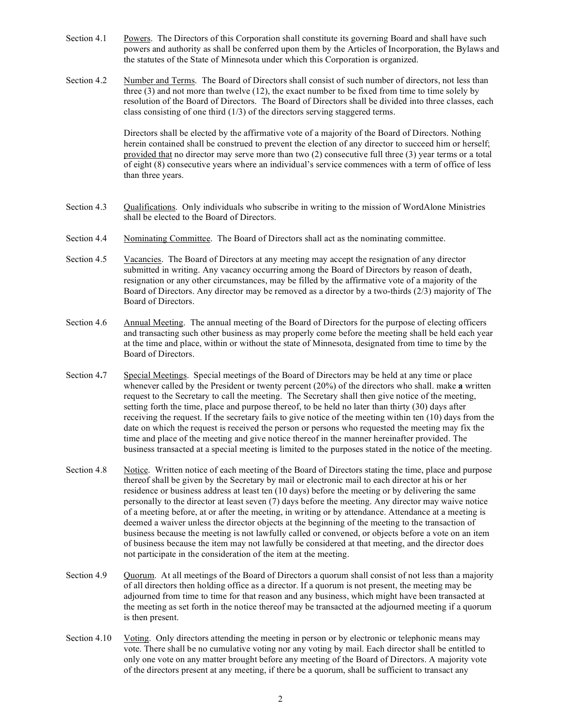Section 4.1 Powers. The Directors of this Corporation shall constitute its governing Board and shall have such powers and authority as shall be conferred upon them by the Articles of Incorporation, the Bylaws and the statutes of the State of Minnesota under which this Corporation is organized.

Section 4.2 Number and Terms. The Board of Directors shall consist of such number of directors, not less than three (3) and not more than twelve (12), the exact number to be fixed from time to time solely by resolution of the Board of Directors. The Board of Directors shall be divided into three classes, each class consisting of one third (1/3) of the directors serving staggered terms.

> Directors shall be elected by the affirmative vote of a majority of the Board of Directors. Nothing herein contained shall be construed to prevent the election of any director to succeed him or herself; provided that no director may serve more than two (2) consecutive full three (3) year terms or a total of eight (8) consecutive years where an individual's service commences with a term of office of less than three years.

- Section 4.3 Qualifications. Only individuals who subscribe in writing to the mission of WordAlone Ministries shall be elected to the Board of Directors.
- Section 4.4 Nominating Committee. The Board of Directors shall act as the nominating committee.
- Section 4.5 Vacancies. The Board of Directors at any meeting may accept the resignation of any director submitted in writing. Any vacancy occurring among the Board of Directors by reason of death, resignation or any other circumstances, may be filled by the affirmative vote of a majority of the Board of Directors. Any director may be removed as a director by a two-thirds (2/3) majority of The Board of Directors.
- Section 4.6 Annual Meeting. The annual meeting of the Board of Directors for the purpose of electing officers and transacting such other business as may properly come before the meeting shall be held each year at the time and place, within or without the state of Minnesota, designated from time to time by the Board of Directors.
- Section 4**.**7 Special Meetings. Special meetings of the Board of Directors may be held at any time or place whenever called by the President or twenty percent (20%) of the directors who shall. make **a** written request to the Secretary to call the meeting. The Secretary shall then give notice of the meeting, setting forth the time, place and purpose thereof, to be held no later than thirty (30) days after receiving the request. If the secretary fails to give notice of the meeting within ten (10) days from the date on which the request is received the person or persons who requested the meeting may fix the time and place of the meeting and give notice thereof in the manner hereinafter provided. The business transacted at a special meeting is limited to the purposes stated in the notice of the meeting.
- Section 4.8 Notice. Written notice of each meeting of the Board of Directors stating the time, place and purpose thereof shall be given by the Secretary by mail or electronic mail to each director at his or her residence or business address at least ten (10 days) before the meeting or by delivering the same personally to the director at least seven (7) days before the meeting. Any director may waive notice of a meeting before, at or after the meeting, in writing or by attendance. Attendance at a meeting is deemed a waiver unless the director objects at the beginning of the meeting to the transaction of business because the meeting is not lawfully called or convened, or objects before a vote on an item of business because the item may not lawfully be considered at that meeting, and the director does not participate in the consideration of the item at the meeting.
- Section 4.9 Quorum. At all meetings of the Board of Directors a quorum shall consist of not less than a majority of all directors then holding office as a director. If a quorum is not present, the meeting may be adjourned from time to time for that reason and any business, which might have been transacted at the meeting as set forth in the notice thereof may be transacted at the adjourned meeting if a quorum is then present.
- Section 4.10 Voting. Only directors attending the meeting in person or by electronic or telephonic means may vote. There shall be no cumulative voting nor any voting by mail. Each director shall be entitled to only one vote on any matter brought before any meeting of the Board of Directors. A majority vote of the directors present at any meeting, if there be a quorum, shall be sufficient to transact any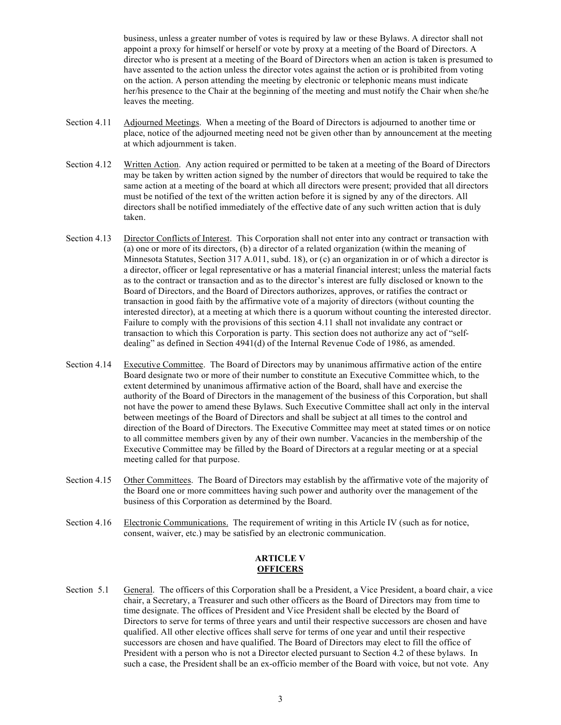business, unless a greater number of votes is required by law or these Bylaws. A director shall not appoint a proxy for himself or herself or vote by proxy at a meeting of the Board of Directors. A director who is present at a meeting of the Board of Directors when an action is taken is presumed to have assented to the action unless the director votes against the action or is prohibited from voting on the action. A person attending the meeting by electronic or telephonic means must indicate her/his presence to the Chair at the beginning of the meeting and must notify the Chair when she/he leaves the meeting.

- Section 4.11 Adjourned Meetings. When a meeting of the Board of Directors is adjourned to another time or place, notice of the adjourned meeting need not be given other than by announcement at the meeting at which adjournment is taken.
- Section 4.12 Written Action. Any action required or permitted to be taken at a meeting of the Board of Directors may be taken by written action signed by the number of directors that would be required to take the same action at a meeting of the board at which all directors were present; provided that all directors must be notified of the text of the written action before it is signed by any of the directors. All directors shall be notified immediately of the effective date of any such written action that is duly taken.
- Section 4.13 Director Conflicts of Interest. This Corporation shall not enter into any contract or transaction with (a) one or more of its directors, (b) a director of a related organization (within the meaning of Minnesota Statutes, Section 317 A.011, subd. 18), or (c) an organization in or of which a director is a director, officer or legal representative or has a material financial interest; unless the material facts as to the contract or transaction and as to the director's interest are fully disclosed or known to the Board of Directors, and the Board of Directors authorizes, approves, or ratifies the contract or transaction in good faith by the affirmative vote of a majority of directors (without counting the interested director), at a meeting at which there is a quorum without counting the interested director. Failure to comply with the provisions of this section 4.11 shall not invalidate any contract or transaction to which this Corporation is party. This section does not authorize any act of "selfdealing" as defined in Section 4941(d) of the Internal Revenue Code of 1986, as amended.
- Section 4.14 Executive Committee. The Board of Directors may by unanimous affirmative action of the entire Board designate two or more of their number to constitute an Executive Committee which, to the extent determined by unanimous affirmative action of the Board, shall have and exercise the authority of the Board of Directors in the management of the business of this Corporation, but shall not have the power to amend these Bylaws. Such Executive Committee shall act only in the interval between meetings of the Board of Directors and shall be subject at all times to the control and direction of the Board of Directors. The Executive Committee may meet at stated times or on notice to all committee members given by any of their own number. Vacancies in the membership of the Executive Committee may be filled by the Board of Directors at a regular meeting or at a special meeting called for that purpose.
- Section 4.15 Other Committees. The Board of Directors may establish by the affirmative vote of the majority of the Board one or more committees having such power and authority over the management of the business of this Corporation as determined by the Board.
- Section 4.16 Electronic Communications. The requirement of writing in this Article IV (such as for notice, consent, waiver, etc.) may be satisfied by an electronic communication.

#### **ARTICLE V OFFICERS**

Section 5.1 General. The officers of this Corporation shall be a President, a Vice President, a board chair, a vice chair, a Secretary, a Treasurer and such other officers as the Board of Directors may from time to time designate. The offices of President and Vice President shall be elected by the Board of Directors to serve for terms of three years and until their respective successors are chosen and have qualified. All other elective offices shall serve for terms of one year and until their respective successors are chosen and have qualified. The Board of Directors may elect to fill the office of President with a person who is not a Director elected pursuant to Section 4.2 of these bylaws. In such a case, the President shall be an ex-officio member of the Board with voice, but not vote. Any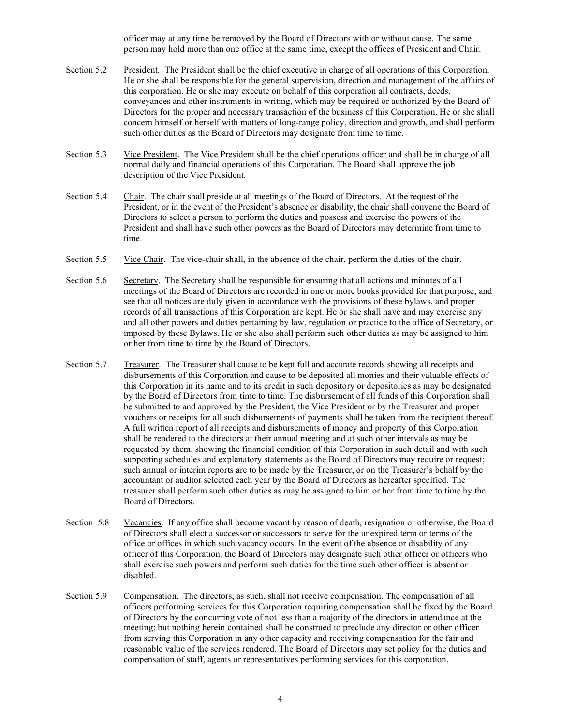officer may at any time be removed by the Board of Directors with or without cause. The same person may hold more than one office at the same time, except the offices of President and Chair.

- Section 5.2 President. The President shall be the chief executive in charge of all operations of this Corporation. He or she shall be responsible for the general supervision, direction and management of the affairs of this corporation. He or she may execute on behalf of this corporation all contracts, deeds, conveyances and other instruments in writing, which may be required or authorized by the Board of Directors for the proper and necessary transaction of the business of this Corporation. He or she shall concern himself or herself with matters of long-range policy, direction and growth, and shall perform such other duties as the Board of Directors may designate from time to time.
- Section 5.3 Vice President. The Vice President shall be the chief operations officer and shall be in charge of all normal daily and financial operations of this Corporation. The Board shall approve the job description of the Vice President.
- Section 5.4 Chair. The chair shall preside at all meetings of the Board of Directors. At the request of the President, or in the event of the President's absence or disability, the chair shall convene the Board of Directors to select a person to perform the duties and possess and exercise the powers of the President and shall have such other powers as the Board of Directors may determine from time to time.
- Section 5.5 Vice Chair. The vice-chair shall, in the absence of the chair, perform the duties of the chair.
- Section 5.6 Secretary. The Secretary shall be responsible for ensuring that all actions and minutes of all meetings of the Board of Directors are recorded in one or more books provided for that purpose; and see that all notices are duly given in accordance with the provisions of these bylaws, and proper records of all transactions of this Corporation are kept. He or she shall have and may exercise any and all other powers and duties pertaining by law, regulation or practice to the office of Secretary, or imposed by these Bylaws. He or she also shall perform such other duties as may be assigned to him or her from time to time by the Board of Directors.
- Section 5.7 Treasurer. The Treasurer shall cause to be kept full and accurate records showing all receipts and disbursements of this Corporation and cause to be deposited all monies and their valuable effects of this Corporation in its name and to its credit in such depository or depositories as may be designated by the Board of Directors from time to time. The disbursement of all funds of this Corporation shall be submitted to and approved by the President, the Vice President or by the Treasurer and proper vouchers or receipts for all such disbursements of payments shall be taken from the recipient thereof. A full written report of all receipts and disbursements of money and property of this Corporation shall be rendered to the directors at their annual meeting and at such other intervals as may be requested by them, showing the financial condition of this Corporation in such detail and with such supporting schedules and explanatory statements as the Board of Directors may require or request; such annual or interim reports are to be made by the Treasurer, or on the Treasurer's behalf by the accountant or auditor selected each year by the Board of Directors as hereafter specified. The treasurer shall perform such other duties as may be assigned to him or her from time to time by the Board of Directors.
- Section 5.8 Vacancies. If any office shall become vacant by reason of death, resignation or otherwise, the Board of Directors shall elect a successor or successors to serve for the unexpired term or terms of the office or offices in which such vacancy occurs. In the event of the absence or disability of any officer of this Corporation, the Board of Directors may designate such other officer or officers who shall exercise such powers and perform such duties for the time such other officer is absent or disabled.
- Section 5.9 Compensation. The directors, as such, shall not receive compensation. The compensation of all officers performing services for this Corporation requiring compensation shall be fixed by the Board of Directors by the concurring vote of not less than a majority of the directors in attendance at the meeting; but nothing herein contained shall be construed to preclude any director or other officer from serving this Corporation in any other capacity and receiving compensation for the fair and reasonable value of the services rendered. The Board of Directors may set policy for the duties and compensation of staff, agents or representatives performing services for this corporation.